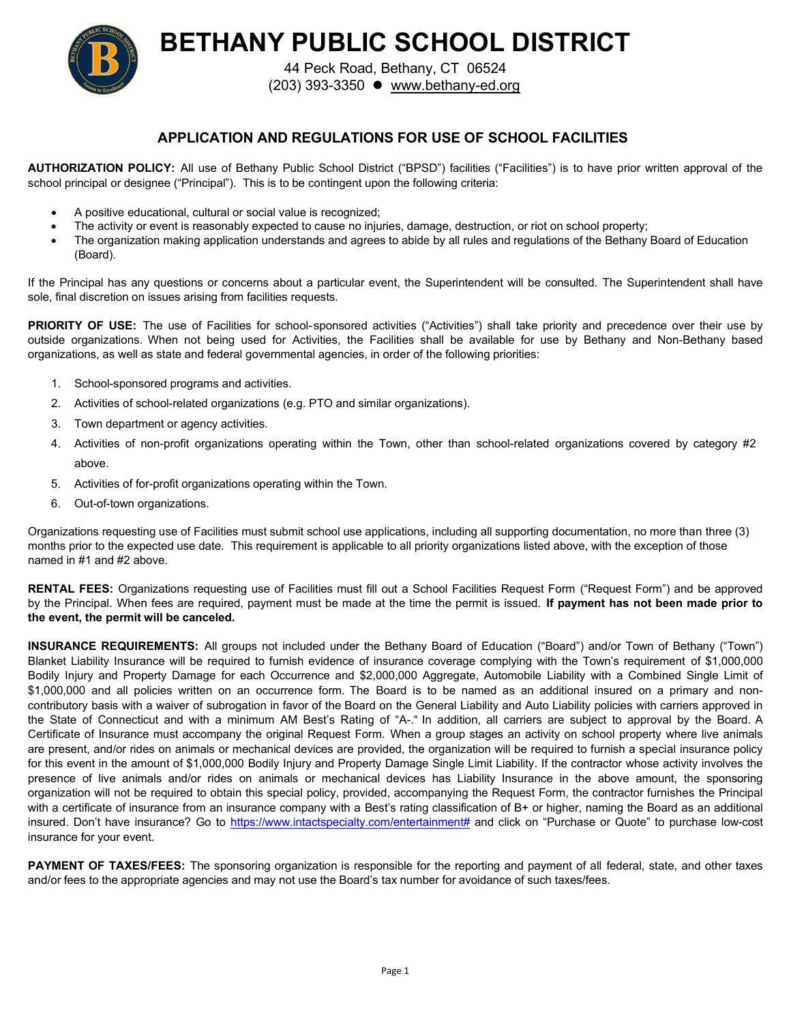

**BETHANY PUBLIC SCHOOL DISTRICT**

44 Peck Road, Bethany, CT 06524 (203) 393-3350 [www.bethany-ed.org](http://www.bethany-ed.org/)

## **APPLICATION AND REGULATIONS FOR USE OF SCHOOL FACILITIES**

**AUTHORIZATION POLICY:** All use of Bethany Public School District ("BPSD") facilities ("Facilities") is to have prior written approval of the school principal or designee ("Principal"). This is to be contingent upon the following criteria:

- A positive educational, cultural or social value is recognized;
- The activity or event is reasonably expected to cause no injuries, damage, destruction, or riot on school property;
- The organization making application understands and agrees to abide by all rules and regulations of the Bethany Board of Education (Board).

If the Principal has any questions or concerns about a particular event, the Superintendent will be consulted. The Superintendent shall have sole, final discretion on issues arising from facilities requests.

PRIORITY OF USE: The use of Facilities for school-sponsored activities ("Activities") shall take priority and precedence over their use by outside organizations. When not being used for Activities, the Facilities shall be available for use by Bethany and Non-Bethany based organizations, as well as state and federal governmental agencies, in order of the following priorities:

- 1. School-sponsored programs and activities.
- 2. Activities of school-related organizations (e.g. PTO and similar organizations).
- 3. Town department or agency activities.
- 4. Activities of non-profit organizations operating within the Town, other than school-related organizations covered by category #2 above.
- 5. Activities of for-profit organizations operating within the Town.
- 6. Out-of-town organizations.

Organizations requesting use of Facilities must submit school use applications, including all supporting documentation, no more than three (3) months prior to the expected use date. This requirement is applicable to all priority organizations listed above, with the exception of those named in #1 and #2 above.

**RENTAL FEES:** Organizations requesting use of Facilities must fill out a School Facilities Request Form ("Request Form") and be approved by the Principal. When fees are required, payment must be made at the time the permit is issued. **If payment has not been made prior to the event, the permit will be canceled.**

**INSURANCE REQUIREMENTS:** All groups not included under the Bethany Board of Education ("Board") and/or Town of Bethany ("Town") Blanket Liability Insurance will be required to furnish evidence of insurance coverage complying with the Town's requirement of \$1,000,000 Bodily Injury and Property Damage for each Occurrence and \$2,000,000 Aggregate, Automobile Liability with a Combined Single Limit of \$1,000,000 and all policies written on an occurrence form. The Board is to be named as an additional insured on a primary and noncontributory basis with a waiver of subrogation in favor of the Board on the General Liability and Auto Liability policies with carriers approved in the State of Connecticut and with a minimum AM Best's Rating of "A-." In addition, all carriers are subject to approval by the Board. A Certificate of Insurance must accompany the original Request Form. When a group stages an activity on school property where live animals are present, and/or rides on animals or mechanical devices are provided, the organization will be required to furnish a special insurance policy for this event in the amount of \$1,000,000 Bodily Injury and Property Damage Single Limit Liability. If the contractor whose activity involves the presence of live animals and/or rides on animals or mechanical devices has Liability Insurance in the above amount, the sponsoring organization will not be required to obtain this special policy, provided, accompanying the Request Form, the contractor furnishes the Principal with a certificate of insurance from an insurance company with a Best's rating classification of B+ or higher, naming the Board as an additional insured. Don't have insurance? Go to [https://www.intactspecialty.com/entertainment#](https://www.intactspecialty.com/entertainment) and click on "Purchase or Quote" to purchase low-cost insurance for your event.

**PAYMENT OF TAXES/FEES:** The sponsoring organization is responsible for the reporting and payment of all federal, state, and other taxes and/or fees to the appropriate agencies and may not use the Board's tax number for avoidance of such taxes/fees.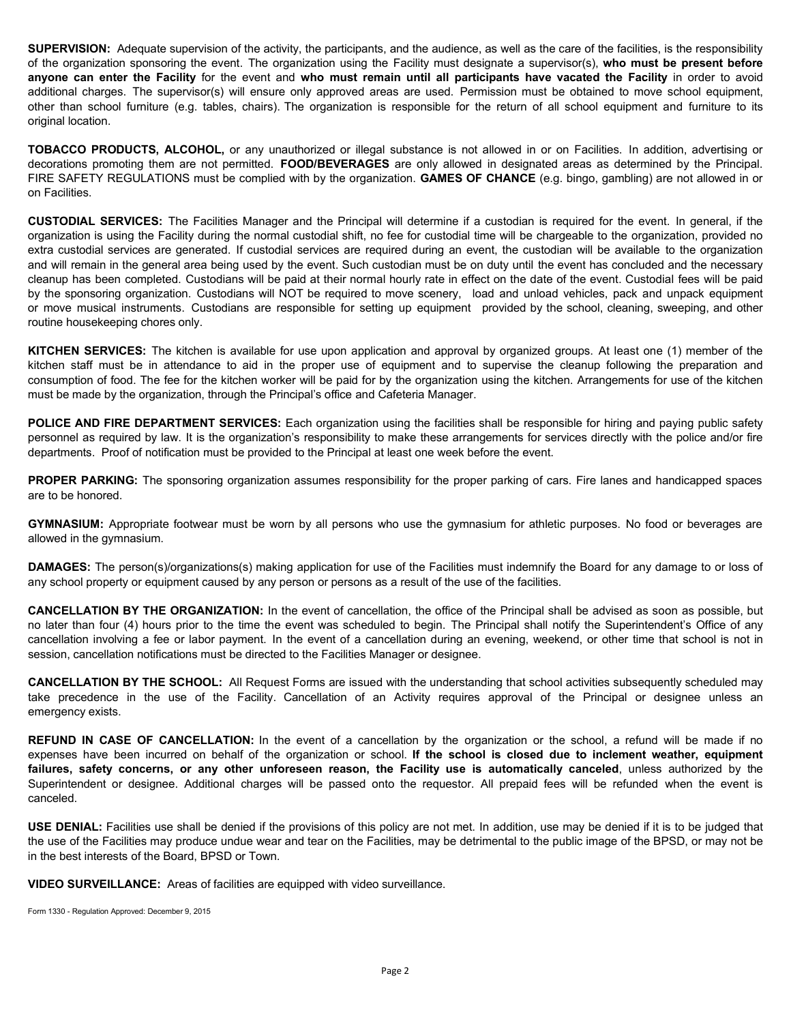**SUPERVISION:** Adequate supervision of the activity, the participants, and the audience, as well as the care of the facilities, is the responsibility of the organization sponsoring the event. The organization using the Facility must designate a supervisor(s), **who must be present before** anyone can enter the Facility for the event and who must remain until all participants have vacated the Facility in order to avoid additional charges. The supervisor(s) will ensure only approved areas are used. Permission must be obtained to move school equipment, other than school furniture (e.g. tables, chairs). The organization is responsible for the return of all school equipment and furniture to its original location.

**TOBACCO PRODUCTS, ALCOHOL,** or any unauthorized or illegal substance is not allowed in or on Facilities. In addition, advertising or decorations promoting them are not permitted. **FOOD/BEVERAGES** are only allowed in designated areas as determined by the Principal. FIRE SAFETY REGULATIONS must be complied with by the organization. **GAMES OF CHANCE** (e.g. bingo, gambling) are not allowed in or on Facilities.

**CUSTODIAL SERVICES:** The Facilities Manager and the Principal will determine if a custodian is required for the event. In general, if the organization is using the Facility during the normal custodial shift, no fee for custodial time will be chargeable to the organization, provided no extra custodial services are generated. If custodial services are required during an event, the custodian will be available to the organization and will remain in the general area being used by the event. Such custodian must be on duty until the event has concluded and the necessary cleanup has been completed. Custodians will be paid at their normal hourly rate in effect on the date of the event. Custodial fees will be paid by the sponsoring organization. Custodians will NOT be required to move scenery, load and unload vehicles, pack and unpack equipment or move musical instruments. Custodians are responsible for setting up equipment provided by the school, cleaning, sweeping, and other routine housekeeping chores only.

**KITCHEN SERVICES:** The kitchen is available for use upon application and approval by organized groups. At least one (1) member of the kitchen staff must be in attendance to aid in the proper use of equipment and to supervise the cleanup following the preparation and consumption of food. The fee for the kitchen worker will be paid for by the organization using the kitchen. Arrangements for use of the kitchen must be made by the organization, through the Principal's office and Cafeteria Manager.

**POLICE AND FIRE DEPARTMENT SERVICES:** Each organization using the facilities shall be responsible for hiring and paying public safety personnel as required by law. It is the organization's responsibility to make these arrangements for services directly with the police and/or fire departments. Proof of notification must be provided to the Principal at least one week before the event.

**PROPER PARKING:** The sponsoring organization assumes responsibility for the proper parking of cars. Fire lanes and handicapped spaces are to be honored.

**GYMNASIUM:** Appropriate footwear must be worn by all persons who use the gymnasium for athletic purposes. No food or beverages are allowed in the gymnasium.

**DAMAGES:** The person(s)/organizations(s) making application for use of the Facilities must indemnify the Board for any damage to or loss of any school property or equipment caused by any person or persons as a result of the use of the facilities.

**CANCELLATION BY THE ORGANIZATION:** In the event of cancellation, the office of the Principal shall be advised as soon as possible, but no later than four (4) hours prior to the time the event was scheduled to begin. The Principal shall notify the Superintendent's Office of any cancellation involving a fee or labor payment. In the event of a cancellation during an evening, weekend, or other time that school is not in session, cancellation notifications must be directed to the Facilities Manager or designee.

**CANCELLATION BY THE SCHOOL:** All Request Forms are issued with the understanding that school activities subsequently scheduled may take precedence in the use of the Facility. Cancellation of an Activity requires approval of the Principal or designee unless an emergency exists.

**REFUND IN CASE OF CANCELLATION:** In the event of a cancellation by the organization or the school, a refund will be made if no expenses have been incurred on behalf of the organization or school. **If the school is closed due to inclement weather, equipment** failures, safety concerns, or any other unforeseen reason, the Facility use is automatically canceled, unless authorized by the Superintendent or designee. Additional charges will be passed onto the requestor. All prepaid fees will be refunded when the event is canceled.

**USE DENIAL:** Facilities use shall be denied if the provisions of this policy are not met. In addition, use may be denied if it is to be judged that the use of the Facilities may produce undue wear and tear on the Facilities, may be detrimental to the public image of the BPSD, or may not be in the best interests of the Board, BPSD or Town.

**VIDEO SURVEILLANCE:** Areas of facilities are equipped with video surveillance.

Form 1330 - Regulation Approved: December 9, 2015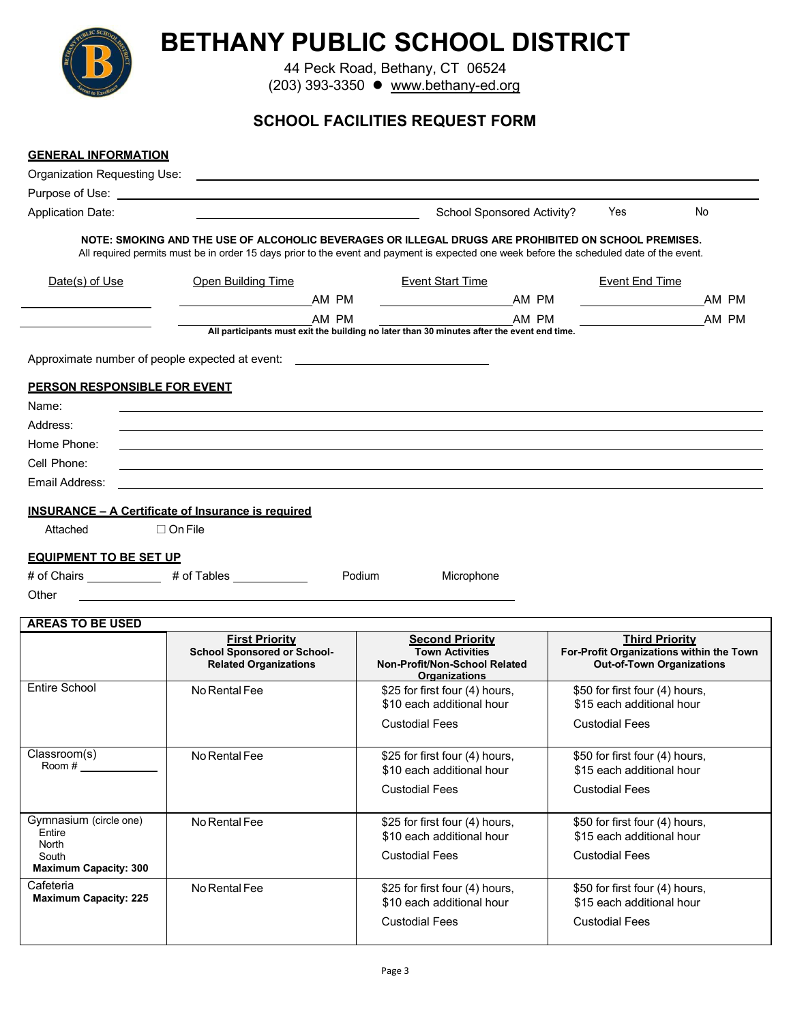| <b>BETHANY PUBLIC SCHOOL DISTRICT</b><br>44 Peck Road, Bethany, CT 06524<br>(203) 393-3350 ● www.bethany-ed.org                                                                                                                                   |                                                                                           |                                                                                            |                            |                       |       |  |  |  |
|---------------------------------------------------------------------------------------------------------------------------------------------------------------------------------------------------------------------------------------------------|-------------------------------------------------------------------------------------------|--------------------------------------------------------------------------------------------|----------------------------|-----------------------|-------|--|--|--|
| <b>SCHOOL FACILITIES REQUEST FORM</b>                                                                                                                                                                                                             |                                                                                           |                                                                                            |                            |                       |       |  |  |  |
| <b>GENERAL INFORMATION</b><br><b>Organization Requesting Use:</b>                                                                                                                                                                                 |                                                                                           |                                                                                            |                            |                       |       |  |  |  |
| Application Date:                                                                                                                                                                                                                                 |                                                                                           |                                                                                            | School Sponsored Activity? | Yes<br><b>No</b>      |       |  |  |  |
| NOTE: SMOKING AND THE USE OF ALCOHOLIC BEVERAGES OR ILLEGAL DRUGS ARE PROHIBITED ON SCHOOL PREMISES.<br>All required permits must be in order 15 days prior to the event and payment is expected one week before the scheduled date of the event. |                                                                                           |                                                                                            |                            |                       |       |  |  |  |
| Date(s) of Use                                                                                                                                                                                                                                    | Open Building Time                                                                        | <b>Event Start Time</b>                                                                    |                            | <b>Event End Time</b> |       |  |  |  |
|                                                                                                                                                                                                                                                   | AM PM                                                                                     |                                                                                            | AM PM                      |                       | AM PM |  |  |  |
|                                                                                                                                                                                                                                                   | AM PM<br>Approximate number of people expected at event: ________________________________ | All participants must exit the building no later than 30 minutes after the event end time. | AM PM                      |                       | AM PM |  |  |  |
| PERSON RESPONSIBLE FOR EVENT                                                                                                                                                                                                                      |                                                                                           |                                                                                            |                            |                       |       |  |  |  |
| Name:                                                                                                                                                                                                                                             |                                                                                           |                                                                                            |                            |                       |       |  |  |  |
| Address:                                                                                                                                                                                                                                          |                                                                                           |                                                                                            |                            |                       |       |  |  |  |
| Home Phone:                                                                                                                                                                                                                                       |                                                                                           |                                                                                            |                            |                       |       |  |  |  |
| Cell Phone:                                                                                                                                                                                                                                       |                                                                                           |                                                                                            |                            |                       |       |  |  |  |
| Email Address:                                                                                                                                                                                                                                    |                                                                                           |                                                                                            |                            |                       |       |  |  |  |
|                                                                                                                                                                                                                                                   | <b>INSURANCE - A Certificate of Insurance is required</b>                                 |                                                                                            |                            |                       |       |  |  |  |
| Attached                                                                                                                                                                                                                                          | $\Box$ On File                                                                            |                                                                                            |                            |                       |       |  |  |  |
| <b>EQUIPMENT TO BE SET UP</b>                                                                                                                                                                                                                     |                                                                                           |                                                                                            |                            |                       |       |  |  |  |
|                                                                                                                                                                                                                                                   | # of Chairs ______________ # of Tables __________                                         | Podium<br>Microphone                                                                       |                            |                       |       |  |  |  |
| Other                                                                                                                                                                                                                                             |                                                                                           |                                                                                            |                            |                       |       |  |  |  |
| <b>AREAS TO BE USED</b>                                                                                                                                                                                                                           |                                                                                           |                                                                                            |                            |                       |       |  |  |  |
|                                                                                                                                                                                                                                                   | <b>First Priority</b>                                                                     | <b>Second Priority</b>                                                                     |                            | <b>Third Priority</b> |       |  |  |  |

|                                           | <u>First Priority</u><br><b>School Sponsored or School-</b><br><b>Related Organizations</b> | <u>Second Priority</u><br><b>Town Activities</b><br>Non-Profit/Non-School Related<br><b>Organizations</b> | <u>Third Priority</u><br>For-Profit Organizations within the Town<br><b>Out-of-Town Organizations</b> |
|-------------------------------------------|---------------------------------------------------------------------------------------------|-----------------------------------------------------------------------------------------------------------|-------------------------------------------------------------------------------------------------------|
| Entire School                             | No Rental Fee                                                                               | \$25 for first four (4) hours,<br>\$10 each additional hour                                               | \$50 for first four (4) hours,<br>\$15 each additional hour                                           |
|                                           |                                                                                             | <b>Custodial Fees</b>                                                                                     | <b>Custodial Fees</b>                                                                                 |
| Classroom(s)<br>Room #                    | No Rental Fee                                                                               | \$25 for first four (4) hours,<br>\$10 each additional hour                                               | \$50 for first four (4) hours,<br>\$15 each additional hour                                           |
|                                           |                                                                                             | <b>Custodial Fees</b>                                                                                     | <b>Custodial Fees</b>                                                                                 |
| Gymnasium (circle one)<br>Entire<br>North | No Rental Fee                                                                               | \$25 for first four (4) hours,<br>\$10 each additional hour                                               | \$50 for first four (4) hours,<br>\$15 each additional hour                                           |
| South<br><b>Maximum Capacity: 300</b>     |                                                                                             | <b>Custodial Fees</b>                                                                                     | <b>Custodial Fees</b>                                                                                 |
| Cafeteria<br><b>Maximum Capacity: 225</b> | No Rental Fee                                                                               | \$25 for first four (4) hours,<br>\$10 each additional hour                                               | \$50 for first four (4) hours,<br>\$15 each additional hour                                           |
|                                           |                                                                                             | <b>Custodial Fees</b>                                                                                     | <b>Custodial Fees</b>                                                                                 |

 $\overline{\phantom{a}}$